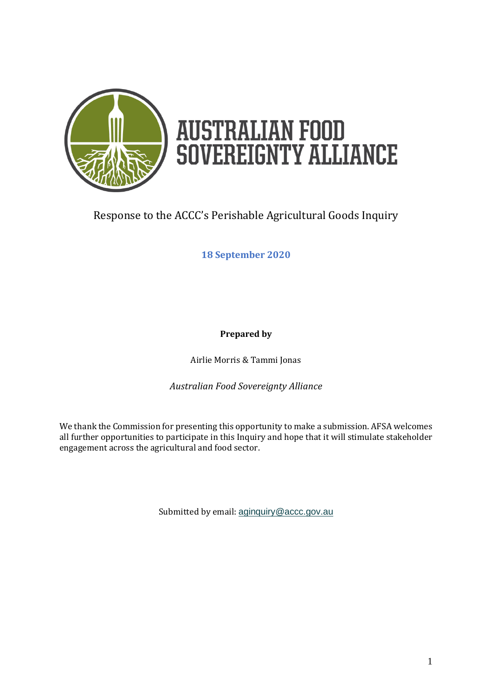

# **AUSTRALIAN FOOD<br>SOVEREIGNTY ALLIANCE**

# Response to the ACCC's Perishable Agricultural Goods Inquiry

**18 September 2020**

**Prepared by**

Airlie Morris & Tammi Jonas

*Australian Food Sovereignty Alliance*

We thank the Commission for presenting this opportunity to make a submission. AFSA welcomes all further opportunities to participate in this Inquiry and hope that it will stimulate stakeholder engagement across the agricultural and food sector.

Submitted by email: [aginquiry@accc.gov.au](mailto:aginquiry@accc.gov.au)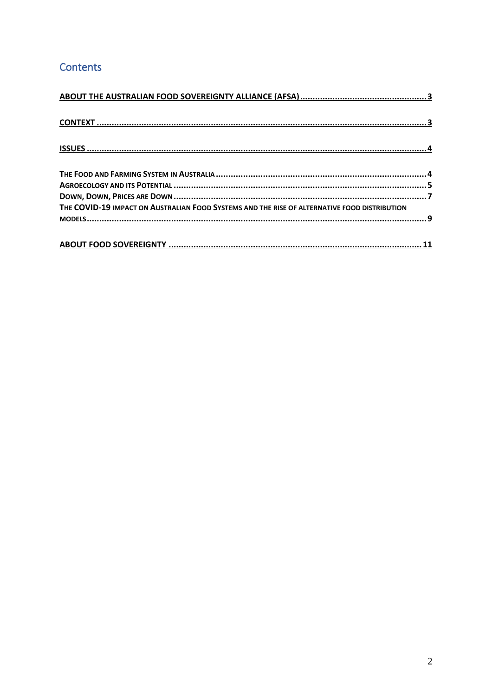# Contents

| THE COVID-19 IMPACT ON AUSTRALIAN FOOD SYSTEMS AND THE RISE OF ALTERNATIVE FOOD DISTRIBUTION |  |
|----------------------------------------------------------------------------------------------|--|
|                                                                                              |  |
|                                                                                              |  |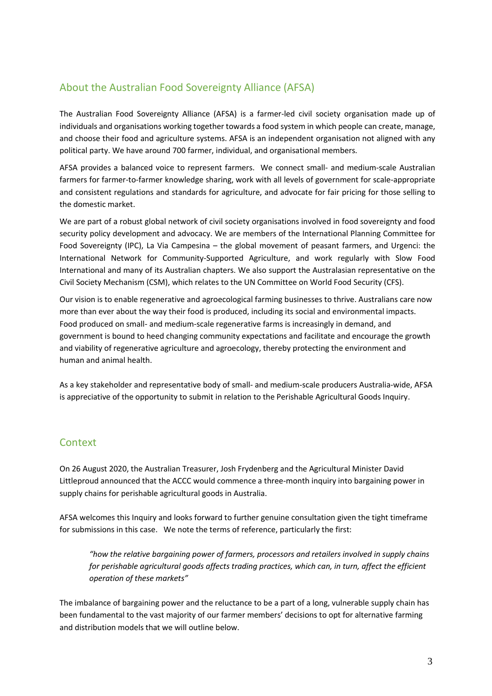## <span id="page-2-0"></span>About the Australian Food Sovereignty Alliance (AFSA)

The Australian Food Sovereignty Alliance (AFSA) is a farmer-led civil society organisation made up of individuals and organisations working together towards a food system in which people can create, manage, and choose their food and agriculture systems. AFSA is an independent organisation not aligned with any political party. We have around 700 farmer, individual, and organisational members.

AFSA provides a balanced voice to represent farmers. We connect small- and medium-scale Australian farmers for farmer-to-farmer knowledge sharing, work with all levels of government for scale-appropriate and consistent regulations and standards for agriculture, and advocate for fair pricing for those selling to the domestic market.

We are part of a robust global network of civil society organisations involved in food sovereignty and food security policy development and advocacy. We are members of the International Planning Committee for Food Sovereignty (IPC), La Via Campesina – the global movement of peasant farmers, and Urgenci: the International Network for Community-Supported Agriculture, and work regularly with Slow Food International and many of its Australian chapters. We also support the Australasian representative on the Civil Society Mechanism (CSM), which relates to the UN Committee on World Food Security (CFS).

Our vision is to enable regenerative and agroecological farming businesses to thrive. Australians care now more than ever about the way their food is produced, including its social and environmental impacts. Food produced on small- and medium-scale regenerative farms is increasingly in demand, and government is bound to heed changing community expectations and facilitate and encourage the growth and viability of regenerative agriculture and agroecology, thereby protecting the environment and human and animal health.

As a key stakeholder and representative body of small- and medium-scale producers Australia-wide, AFSA is appreciative of the opportunity to submit in relation to the Perishable Agricultural Goods Inquiry.

### <span id="page-2-1"></span>Context

On 26 August 2020, the Australian Treasurer, Josh Frydenberg and the Agricultural Minister David Littleproud announced that the ACCC would commence a three-month inquiry into bargaining power in supply chains for perishable agricultural goods in Australia.

AFSA welcomes this Inquiry and looks forward to further genuine consultation given the tight timeframe for submissions in this case. We note the terms of reference, particularly the first:

*"how the relative bargaining power of farmers, processors and retailers involved in supply chains for perishable agricultural goods affects trading practices, which can, in turn, affect the efficient operation of these markets"*

The imbalance of bargaining power and the reluctance to be a part of a long, vulnerable supply chain has been fundamental to the vast majority of our farmer members' decisions to opt for alternative farming and distribution models that we will outline below.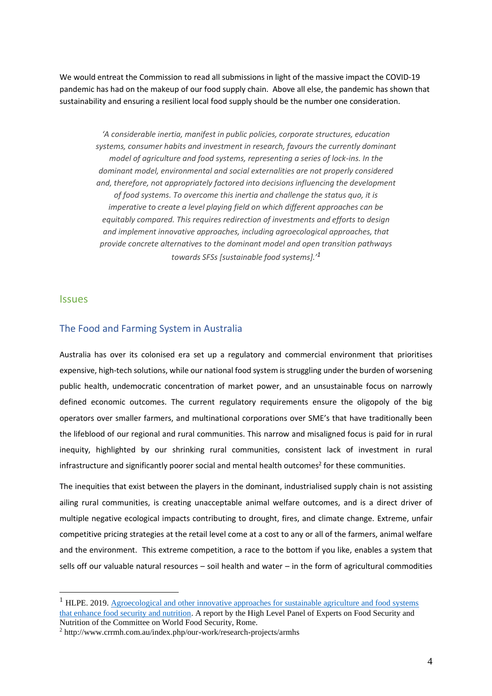We would entreat the Commission to read all submissions in light of the massive impact the COVID-19 pandemic has had on the makeup of our food supply chain. Above all else, the pandemic has shown that sustainability and ensuring a resilient local food supply should be the number one consideration.

*'A considerable inertia, manifest in public policies, corporate structures, education systems, consumer habits and investment in research, favours the currently dominant model of agriculture and food systems, representing a series of lock-ins. In the dominant model, environmental and social externalities are not properly considered and, therefore, not appropriately factored into decisions influencing the development of food systems. To overcome this inertia and challenge the status quo, it is imperative to create a level playing field on which different approaches can be equitably compared. This requires redirection of investments and efforts to design and implement innovative approaches, including agroecological approaches, that provide concrete alternatives to the dominant model and open transition pathways towards SFSs [sustainable food systems].'<sup>1</sup>*

#### <span id="page-3-0"></span>**Issues**

#### <span id="page-3-1"></span>The Food and Farming System in Australia

Australia has over its colonised era set up a regulatory and commercial environment that prioritises expensive, high-tech solutions, while our national food system is struggling under the burden of worsening public health, undemocratic concentration of market power, and an unsustainable focus on narrowly defined economic outcomes. The current regulatory requirements ensure the oligopoly of the big operators over smaller farmers, and multinational corporations over SME's that have traditionally been the lifeblood of our regional and rural communities. This narrow and misaligned focus is paid for in rural inequity, highlighted by our shrinking rural communities, consistent lack of investment in rural infrastructure and significantly poorer social and mental health outcomes<sup>2</sup> for these communities.

The inequities that exist between the players in the dominant, industrialised supply chain is not assisting ailing rural communities, is creating unacceptable animal welfare outcomes, and is a direct driver of multiple negative ecological impacts contributing to drought, fires, and climate change. Extreme, unfair competitive pricing strategies at the retail level come at a cost to any or all of the farmers, animal welfare and the environment. This extreme competition, a race to the bottom if you like, enables a system that sells off our valuable natural resources – soil health and water – in the form of agricultural commodities

<sup>&</sup>lt;sup>1</sup> HLPE. 2019. Agroecological and other innovative approaches for sustainable agriculture and food systems [that enhance food security and nutrition.](http://www.fao.org/3/ca5602en/ca5602en.pdf) A report by the High Level Panel of Experts on Food Security and Nutrition of the Committee on World Food Security, Rome.

<sup>2</sup> http://www.crrmh.com.au/index.php/our-work/research-projects/armhs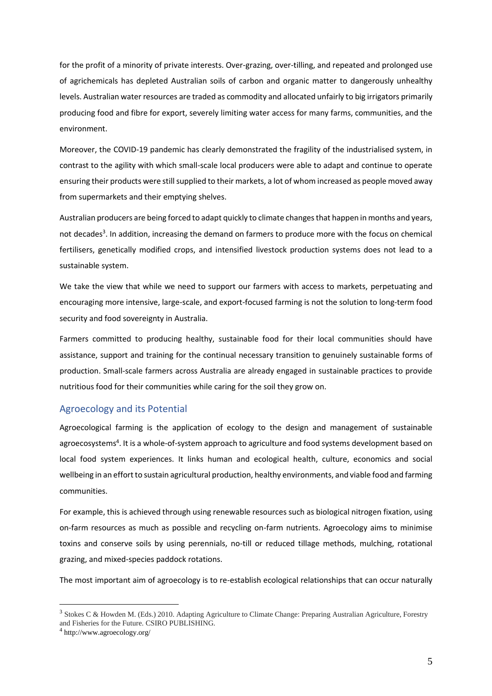for the profit of a minority of private interests. Over-grazing, over-tilling, and repeated and prolonged use of agrichemicals has depleted Australian soils of carbon and organic matter to dangerously unhealthy levels. Australian water resources are traded as commodity and allocated unfairly to big irrigators primarily producing food and fibre for export, severely limiting water access for many farms, communities, and the environment.

Moreover, the COVID-19 pandemic has clearly demonstrated the fragility of the industrialised system, in contrast to the agility with which small-scale local producers were able to adapt and continue to operate ensuring their products were still supplied to their markets, a lot of whom increased as people moved away from supermarkets and their emptying shelves.

Australian producers are being forced to adapt quickly to climate changes that happen in months and years, not decades<sup>3</sup>. In addition, increasing the demand on farmers to produce more with the focus on chemical fertilisers, genetically modified crops, and intensified livestock production systems does not lead to a sustainable system.

We take the view that while we need to support our farmers with access to markets, perpetuating and encouraging more intensive, large-scale, and export-focused farming is not the solution to long-term food security and food sovereignty in Australia.

Farmers committed to producing healthy, sustainable food for their local communities should have assistance, support and training for the continual necessary transition to genuinely sustainable forms of production. Small-scale farmers across Australia are already engaged in sustainable practices to provide nutritious food for their communities while caring for the soil they grow on.

#### <span id="page-4-0"></span>Agroecology and its Potential

Agroecological farming is the application of ecology to the design and management of sustainable agroecosystems<sup>4</sup>. It is a whole-of-system approach to agriculture and food systems development based on local food system experiences. It links human and ecological health, culture, economics and social wellbeing in an effort to sustain agricultural production, healthy environments, and viable food and farming communities.

For example, this is achieved through using renewable resources such as biological nitrogen fixation, using on-farm resources as much as possible and recycling on-farm nutrients. Agroecology aims to minimise toxins and conserve soils by using perennials, no-till or reduced tillage methods, mulching, rotational grazing, and mixed-species paddock rotations.

The most important aim of agroecology is to re-establish ecological relationships that can occur naturally

<sup>&</sup>lt;sup>3</sup> Stokes C & Howden M. (Eds.) 2010. Adapting Agriculture to Climate Change: Preparing Australian Agriculture, Forestry and Fisheries for the Future. CSIRO PUBLISHING.

<sup>4</sup> http://www.agroecology.org/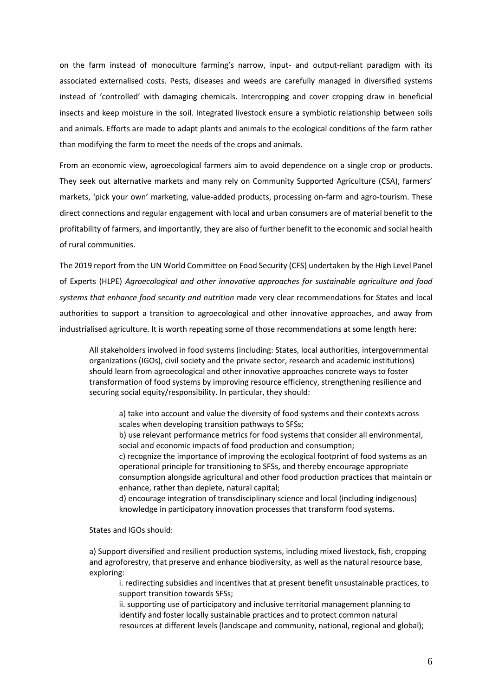on the farm instead of monoculture farming's narrow, input- and output-reliant paradigm with its associated externalised costs. Pests, diseases and weeds are carefully managed in diversified systems instead of 'controlled' with damaging chemicals. Intercropping and cover cropping draw in beneficial insects and keep moisture in the soil. Integrated livestock ensure a symbiotic relationship between soils and animals. Efforts are made to adapt plants and animals to the ecological conditions of the farm rather than modifying the farm to meet the needs of the crops and animals.

From an economic view, agroecological farmers aim to avoid dependence on a single crop or products. They seek out alternative markets and many rely on Community Supported Agriculture (CSA), farmers' markets, 'pick your own' marketing, value-added products, processing on-farm and agro-tourism. These direct connections and regular engagement with local and urban consumers are of material benefit to the profitability of farmers, and importantly, they are also of further benefit to the economic and social health of rural communities.

The 2019 report from the UN World Committee on Food Security (CFS) undertaken by the High Level Panel of Experts (HLPE) *Agroecological and other innovative approaches for sustainable agriculture and food systems that enhance food security and nutrition* made very clear recommendations for States and local authorities to support a transition to agroecological and other innovative approaches, and away from industrialised agriculture. It is worth repeating some of those recommendations at some length here:

All stakeholders involved in food systems (including: States, local authorities, intergovernmental organizations (IGOs), civil society and the private sector, research and academic institutions) should learn from agroecological and other innovative approaches concrete ways to foster transformation of food systems by improving resource efficiency, strengthening resilience and securing social equity/responsibility. In particular, they should:

a) take into account and value the diversity of food systems and their contexts across scales when developing transition pathways to SFSs;

b) use relevant performance metrics for food systems that consider all environmental, social and economic impacts of food production and consumption;

c) recognize the importance of improving the ecological footprint of food systems as an operational principle for transitioning to SFSs, and thereby encourage appropriate consumption alongside agricultural and other food production practices that maintain or enhance, rather than deplete, natural capital;

d) encourage integration of transdisciplinary science and local (including indigenous) knowledge in participatory innovation processes that transform food systems.

States and IGOs should:

a) Support diversified and resilient production systems, including mixed livestock, fish, cropping and agroforestry, that preserve and enhance biodiversity, as well as the natural resource base, exploring:

i. redirecting subsidies and incentives that at present benefit unsustainable practices, to support transition towards SFSs;

ii. supporting use of participatory and inclusive territorial management planning to identify and foster locally sustainable practices and to protect common natural resources at different levels (landscape and community, national, regional and global);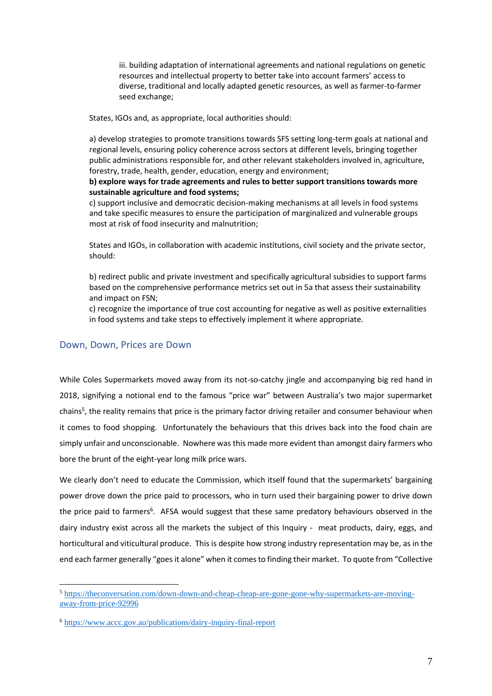iii. building adaptation of international agreements and national regulations on genetic resources and intellectual property to better take into account farmers' access to diverse, traditional and locally adapted genetic resources, as well as farmer-to-farmer seed exchange;

States, IGOs and, as appropriate, local authorities should:

a) develop strategies to promote transitions towards SFS setting long-term goals at national and regional levels, ensuring policy coherence across sectors at different levels, bringing together public administrations responsible for, and other relevant stakeholders involved in, agriculture, forestry, trade, health, gender, education, energy and environment;

**b) explore ways for trade agreements and rules to better support transitions towards more sustainable agriculture and food systems;** 

c) support inclusive and democratic decision-making mechanisms at all levels in food systems and take specific measures to ensure the participation of marginalized and vulnerable groups most at risk of food insecurity and malnutrition;

States and IGOs, in collaboration with academic institutions, civil society and the private sector, should:

b) redirect public and private investment and specifically agricultural subsidies to support farms based on the comprehensive performance metrics set out in 5a that assess their sustainability and impact on FSN;

c) recognize the importance of true cost accounting for negative as well as positive externalities in food systems and take steps to effectively implement it where appropriate.

#### <span id="page-6-0"></span>Down, Down, Prices are Down

While Coles Supermarkets moved away from its not-so-catchy jingle and accompanying big red hand in 2018, signifying a notional end to the famous "price war" between Australia's two major supermarket chains<sup>5</sup>, the reality remains that price is the primary factor driving retailer and consumer behaviour when it comes to food shopping. Unfortunately the behaviours that this drives back into the food chain are simply unfair and unconscionable. Nowhere was this made more evident than amongst dairy farmers who bore the brunt of the eight-year long milk price wars.

We clearly don't need to educate the Commission, which itself found that the supermarkets' bargaining power drove down the price paid to processors, who in turn used their bargaining power to drive down the price paid to farmers<sup>6</sup>. AFSA would suggest that these same predatory behaviours observed in the dairy industry exist across all the markets the subject of this Inquiry - meat products, dairy, eggs, and horticultural and viticultural produce. This is despite how strong industry representation may be, as in the end each farmer generally "goes it alone" when it comes to finding their market. To quote from "Collective

<sup>5</sup> [https://theconversation.com/down-down-and-cheap-cheap-are-gone-gone-why-supermarkets-are-moving](https://theconversation.com/down-down-and-cheap-cheap-are-gone-gone-why-supermarkets-are-moving-away-from-price-92996)[away-from-price-92996](https://theconversation.com/down-down-and-cheap-cheap-are-gone-gone-why-supermarkets-are-moving-away-from-price-92996)

<sup>6</sup> <https://www.accc.gov.au/publications/dairy-inquiry-final-report>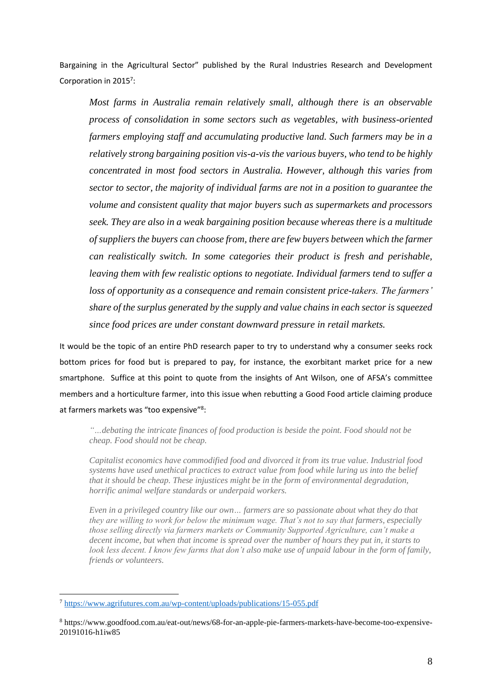Bargaining in the Agricultural Sector" published by the Rural Industries Research and Development Corporation in 2015<sup>7</sup>:

*Most farms in Australia remain relatively small, although there is an observable process of consolidation in some sectors such as vegetables, with business-oriented farmers employing staff and accumulating productive land. Such farmers may be in a relatively strong bargaining position vis-a-vis the various buyers, who tend to be highly concentrated in most food sectors in Australia. However, although this varies from sector to sector, the majority of individual farms are not in a position to guarantee the volume and consistent quality that major buyers such as supermarkets and processors seek. They are also in a weak bargaining position because whereas there is a multitude of suppliers the buyers can choose from, there are few buyers between which the farmer can realistically switch. In some categories their product is fresh and perishable, leaving them with few realistic options to negotiate. Individual farmers tend to suffer a loss of opportunity as a consequence and remain consistent price-takers. The farmers' share of the surplus generated by the supply and value chains in each sector is squeezed since food prices are under constant downward pressure in retail markets.*

It would be the topic of an entire PhD research paper to try to understand why a consumer seeks rock bottom prices for food but is prepared to pay, for instance, the exorbitant market price for a new smartphone. Suffice at this point to quote from the insights of Ant Wilson, one of AFSA's committee members and a horticulture farmer, into this issue when rebutting a Good Food article claiming produce at farmers markets was "too expensive"<sup>8</sup>:

*"…debating the intricate finances of food production is beside the point. Food should not be cheap. Food should not be cheap.*

*Capitalist economics have commodified food and divorced it from its true value. Industrial food systems have used unethical practices to extract value from food while luring us into the belief that it should be cheap. These injustices might be in the form of environmental degradation, horrific animal welfare standards or underpaid workers.*

*Even in a privileged country like our own… farmers are so passionate about what they do that they are willing to work for below the minimum wage. That's not to say that farmers, especially those selling directly via farmers markets or Community Supported Agriculture, can't make a decent income, but when that income is spread over the number of hours they put in, it starts to look less decent. I know few farms that don't also make use of unpaid labour in the form of family, friends or volunteers.*

<sup>7</sup> <https://www.agrifutures.com.au/wp-content/uploads/publications/15-055.pdf>

<sup>8</sup> https://www.goodfood.com.au/eat-out/news/68-for-an-apple-pie-farmers-markets-have-become-too-expensive-20191016-h1iw85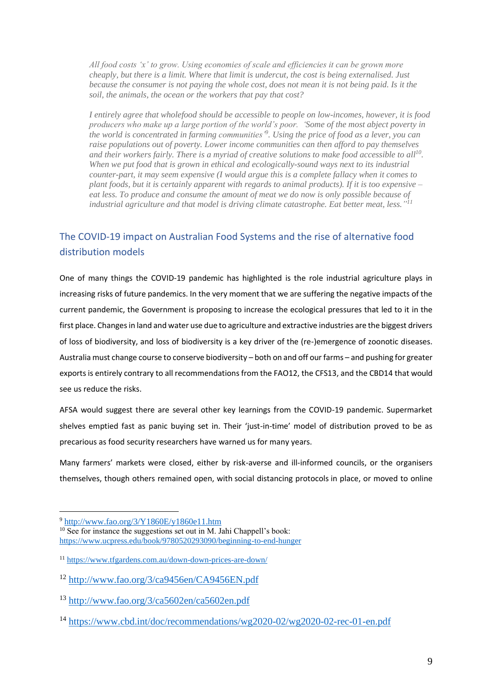*All food costs 'x' to grow. Using economies of scale and efficiencies it can be grown more cheaply, but there is a limit. Where that limit is undercut, the cost is being externalised. Just because the consumer is not paying the whole cost, does not mean it is not being paid. Is it the soil, the animals, the ocean or the workers that pay that cost?*

*I entirely agree that wholefood should be accessible to people on low-incomes, however, it is food producers who make up a large portion of the world's poor. 'Some of the most abject poverty in the world is concentrated in farming communities'<sup>9</sup> . Using the price of food as a lever, you can raise populations out of poverty. Lower income communities can then afford to pay themselves and their workers fairly. There is a myriad of creative solutions to make food accessible to all<sup>10</sup> . When we put food that is grown in ethical and ecologically-sound ways next to its industrial counter-part, it may seem expensive (I would argue this is a complete fallacy when it comes to plant foods, but it is certainly apparent with regards to animal products). If it is too expensive – eat less. To produce and consume the amount of meat we do now is only possible because of industrial agriculture and that model is driving climate catastrophe. Eat better meat, less." 11*

## <span id="page-8-0"></span>The COVID-19 impact on Australian Food Systems and the rise of alternative food distribution models

One of many things the COVID-19 pandemic has highlighted is the role industrial agriculture plays in increasing risks of future pandemics. In the very moment that we are suffering the negative impacts of the current pandemic, the Government is proposing to increase the ecological pressures that led to it in the first place. Changes in land and water use due to agriculture and extractive industries are the biggest drivers of loss of biodiversity, and loss of biodiversity is a key driver of the (re-)emergence of zoonotic diseases. Australia must change course to conserve biodiversity – both on and off our farms – and pushing for greater exports is entirely contrary to all recommendations from the FAO12, the CFS13, and the CBD14 that would see us reduce the risks.

AFSA would suggest there are several other key learnings from the COVID-19 pandemic. Supermarket shelves emptied fast as panic buying set in. Their 'just-in-time' model of distribution proved to be as precarious as food security researchers have warned us for many years.

Many farmers' markets were closed, either by risk-averse and ill-informed councils, or the organisers themselves, though others remained open, with [social distancing protocols](https://farmersmarkets.org.au/wp-content/uploads/AFMA-FACT-SHEET-CORONA-30-March.pdf) in place, or moved to online

<sup>9</sup> <http://www.fao.org/3/Y1860E/y1860e11.htm>

<sup>&</sup>lt;sup>10</sup> See for instance the suggestions set out in M. Jahi Chappell's book: <https://www.ucpress.edu/book/9780520293090/beginning-to-end-hunger>

<sup>11</sup> <https://www.tfgardens.com.au/down-down-prices-are-down/>

<sup>12</sup> <http://www.fao.org/3/ca9456en/CA9456EN.pdf>

<sup>13</sup> <http://www.fao.org/3/ca5602en/ca5602en.pdf>

<sup>14</sup> <https://www.cbd.int/doc/recommendations/wg2020-02/wg2020-02-rec-01-en.pdf>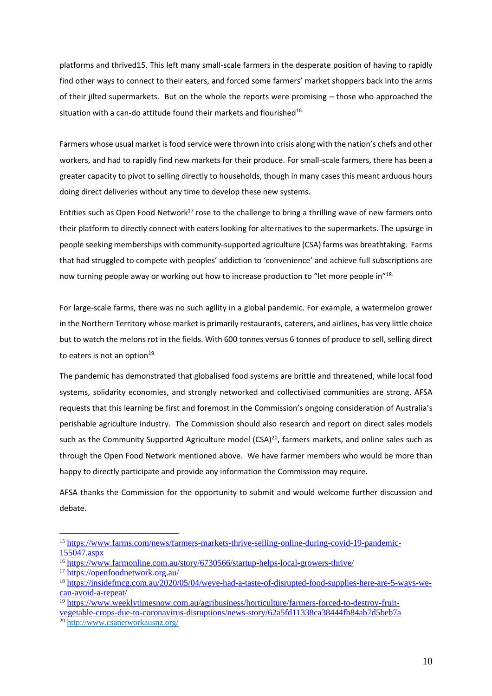platforms and thrived15. This left many small-scale farmers in the desperate position of having to rapidly find other ways to connect to their eaters, and forced some farmers' market shoppers back into the arms of their jilted supermarkets. But on the whole the reports were promising – those who approached the situation with a can-do attitude found their markets and flourished<sup>16.</sup>

Farmers whose usual market is food service were thrown into crisis along with the nation's chefs and other workers, and had to rapidly find new markets for their produce. For small-scale farmers, there has been a greater capacity to pivot to selling directly to households, though in many cases this meant [arduous hours](https://www.abc.net.au/news/2020-03-30/coronavirus-crushing-restaurant-suppliers/12089042?fbclid=IwAR1dRJqRNI6ZfjdERcVZhu784v2HjSJB1ycN-9fivocsTw4A7nHo5XEZI_w)  [doing direct deliveries](https://www.abc.net.au/news/2020-03-30/coronavirus-crushing-restaurant-suppliers/12089042?fbclid=IwAR1dRJqRNI6ZfjdERcVZhu784v2HjSJB1ycN-9fivocsTw4A7nHo5XEZI_w) without any time to develop these new systems.

Entities such as [Open Food Network](https://openfoodnetwork.org.au/)<sup>17</sup> rose to the challenge to bring a thrilling wave of new farmers onto their platform to directly connect with eaters looking for alternatives to the supermarkets. The upsurge in people seeking memberships with community-supported agriculture (CSA) farms was breathtaking. Farms that had struggled to compete with peoples' addiction to 'convenience' and achieve full subscriptions are now turning people away or working out how to increase production to "let more people in"<sup>18.</sup>

For large-scale farms, there was no such agility in a global pandemic. For example, a watermelon grower in the Northern Territory whose market is primarily restaurants, caterers, and airlines, has very little choice but to watch the melons rot in the fields. With 600 tonnes versus 6 tonnes of produce to sell, selling direct to eaters is not an option $19$ .

The pandemic has demonstrated that globalised food systems are brittle and threatened, while local food systems, solidarity economies, and strongly networked and collectivised communities are strong. AFSA requests that this learning be first and foremost in the Commission's ongoing consideration of Australia's perishable agriculture industry. The Commission should also research and report on direct sales models such as the Community Supported Agriculture model (CSA)<sup>20</sup>, farmers markets, and online sales such as through the Open Food Network mentioned above. We have farmer members who would be more than happy to directly participate and provide any information the Commission may require.

AFSA thanks the Commission for the opportunity to submit and would welcome further discussion and debate.

<sup>15</sup> [https://www.farms.com/news/farmers-markets-thrive-selling-online-during-covid-19-pandemic-](https://www.farms.com/news/farmers-markets-thrive-selling-online-during-covid-19-pandemic-155047.aspx)[155047.aspx](https://www.farms.com/news/farmers-markets-thrive-selling-online-during-covid-19-pandemic-155047.aspx)

<sup>16</sup> <https://www.farmonline.com.au/story/6730566/startup-helps-local-growers-thrive/>

<sup>17</sup> <https://openfoodnetwork.org.au/>

<sup>18</sup> [https://insidefmcg.com.au/2020/05/04/weve-had-a-taste-of-disrupted-food-supplies-here-are-5-ways-we](https://insidefmcg.com.au/2020/05/04/weve-had-a-taste-of-disrupted-food-supplies-here-are-5-ways-we-can-avoid-a-repeat/)[can-avoid-a-repeat/](https://insidefmcg.com.au/2020/05/04/weve-had-a-taste-of-disrupted-food-supplies-here-are-5-ways-we-can-avoid-a-repeat/)

<sup>19</sup> [https://www.weeklytimesnow.com.au/agribusiness/horticulture/farmers-forced-to-destroy-fruit-](https://www.weeklytimesnow.com.au/agribusiness/horticulture/farmers-forced-to-destroy-fruit-vegetable-crops-due-to-coronavirus-disruptions/news-story/62a5fd11338ca38444fb84ab7d5beb7a)

[vegetable-crops-due-to-coronavirus-disruptions/news-story/62a5fd11338ca38444fb84ab7d5beb7a](https://www.weeklytimesnow.com.au/agribusiness/horticulture/farmers-forced-to-destroy-fruit-vegetable-crops-due-to-coronavirus-disruptions/news-story/62a5fd11338ca38444fb84ab7d5beb7a)

<sup>20</sup> <http://www.csanetworkausnz.org/>